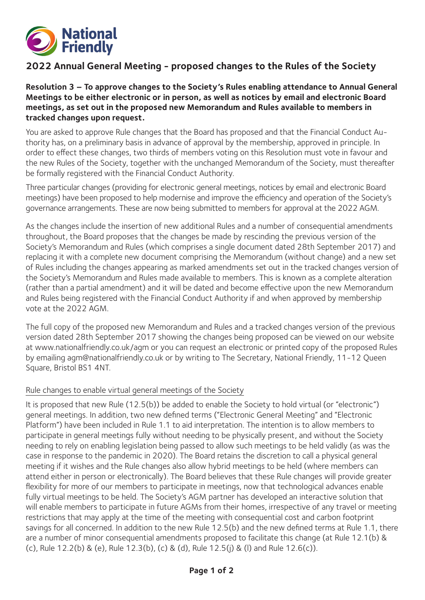

# **2022 Annual General Meeting - proposed changes to the Rules of the Society**

## **Resolution 3 – To approve changes to the Society's Rules enabling attendance to Annual General Meetings to be either electronic or in person, as well as notices by email and electronic Board meetings, as set out in the proposed new Memorandum and Rules available to members in tracked changes upon request.**

You are asked to approve Rule changes that the Board has proposed and that the Financial Conduct Authority has, on a preliminary basis in advance of approval by the membership, approved in principle. In order to effect these changes, two thirds of members voting on this Resolution must vote in favour and the new Rules of the Society, together with the unchanged Memorandum of the Society, must thereafter be formally registered with the Financial Conduct Authority.

Three particular changes (providing for electronic general meetings, notices by email and electronic Board meetings) have been proposed to help modernise and improve the efficiency and operation of the Society's governance arrangements. These are now being submitted to members for approval at the 2022 AGM.

As the changes include the insertion of new additional Rules and a number of consequential amendments throughout, the Board proposes that the changes be made by rescinding the previous version of the Society's Memorandum and Rules (which comprises a single document dated 28th September 2017) and replacing it with a complete new document comprising the Memorandum (without change) and a new set of Rules including the changes appearing as marked amendments set out in the tracked changes version of the Society's Memorandum and Rules made available to members. This is known as a complete alteration (rather than a partial amendment) and it will be dated and become effective upon the new Memorandum and Rules being registered with the Financial Conduct Authority if and when approved by membership vote at the 2022 AGM.

The full copy of the proposed new Memorandum and Rules and a tracked changes version of the previous version dated 28th September 2017 showing the changes being proposed can be viewed on our website at www.nationalfriendly.co.uk/agm or you can request an electronic or printed copy of the proposed Rules by emailing agm@nationalfriendly.co.uk or by writing to The Secretary, National Friendly, 11-12 Queen Square, Bristol BS1 4NT.

#### Rule changes to enable virtual general meetings of the Society

It is proposed that new Rule (12.5(b)) be added to enable the Society to hold virtual (or "electronic") general meetings. In addition, two new defined terms ("Electronic General Meeting" and "Electronic Platform") have been included in Rule 1.1 to aid interpretation. The intention is to allow members to participate in general meetings fully without needing to be physically present, and without the Society needing to rely on enabling legislation being passed to allow such meetings to be held validly (as was the case in response to the pandemic in 2020). The Board retains the discretion to call a physical general meeting if it wishes and the Rule changes also allow hybrid meetings to be held (where members can attend either in person or electronically). The Board believes that these Rule changes will provide greater flexibility for more of our members to participate in meetings, now that technological advances enable fully virtual meetings to be held. The Society's AGM partner has developed an interactive solution that will enable members to participate in future AGMs from their homes, irrespective of any travel or meeting restrictions that may apply at the time of the meeting with consequential cost and carbon footprint savings for all concerned. In addition to the new Rule 12.5(b) and the new defined terms at Rule 1.1, there are a number of minor consequential amendments proposed to facilitate this change (at Rule 12.1(b) & (c), Rule 12.2(b) & (e), Rule 12.3(b), (c) & (d), Rule 12.5(j) & (l) and Rule 12.6(c)).